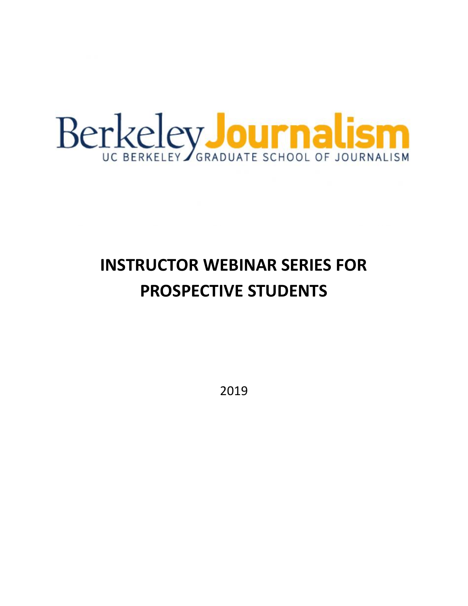

# **INSTRUCTOR WEBINAR SERIES FOR PROSPECTIVE STUDENTS**

2019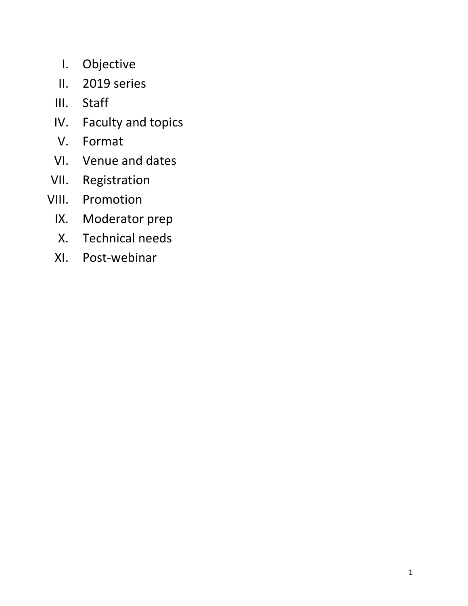- I. Objective
- II. 2019 series
- III. Staff
- IV. Faculty and topics
- V. Format
- VI. Venue and dates
- VII. Registration
- VIII. Promotion
	- IX. Moderator prep
	- X. Technical needs
	- XI. Post-webinar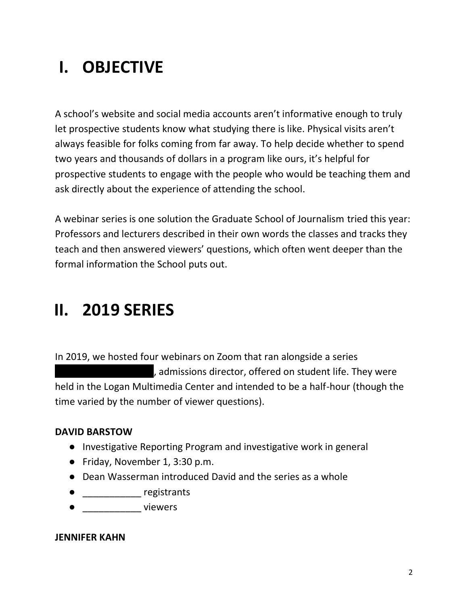# **I. OBJECTIVE**

A school's website and social media accounts aren't informative enough to truly let prospective students know what studying there is like. Physical visits aren't always feasible for folks coming from far away. To help decide whether to spend two years and thousands of dollars in a program like ours, it's helpful for prospective students to engage with the people who would be teaching them and ask directly about the experience of attending the school.

A webinar series is one solution the Graduate School of Journalism tried this year: Professors and lecturers described in their own words the classes and tracks they teach and then answered viewers' questions, which often went deeper than the formal information the School puts out.

### **II. 2019 SERIES**

In 2019, we hosted four webinars on Zoom that ran alongside a series ||||||||||||||||||||, admissions director, offered on student life. They were held in the Logan Multimedia Center and intended to be a half-hour (though the time varied by the number of viewer questions).

#### **DAVID BARSTOW**

- Investigative Reporting Program and investigative work in general
- Friday, November 1, 3:30 p.m.
- Dean Wasserman introduced David and the series as a whole
- \_\_\_\_\_\_\_\_\_\_\_ registrants
- \_\_\_\_\_\_\_\_\_\_\_ viewers

#### **JENNIFER KAHN**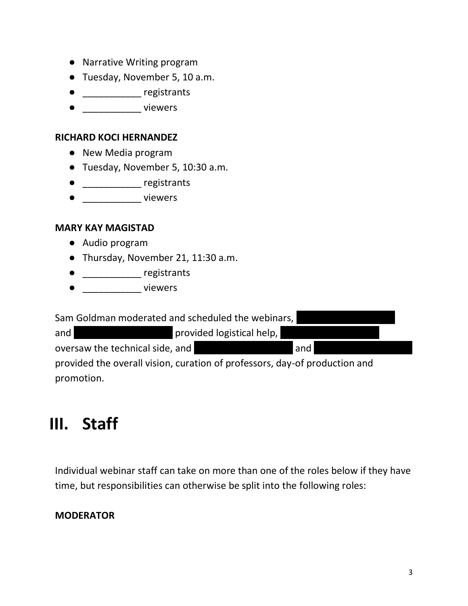- Narrative Writing program
- Tuesday, November 5, 10 a.m.
- **\_\_\_\_\_\_\_\_\_\_\_\_\_** registrants
- e and viewers

#### **RICHARD KOCI HERNANDEZ**

- New Media program
- Tuesday, November 5, 10:30 a.m.
- \_\_\_\_\_\_\_\_\_\_\_ registrants
- \_\_\_\_\_\_\_\_\_\_\_\_\_ viewers

#### **MARY KAY MAGISTAD**

- Audio program
- Thursday, November 21, 11:30 a.m.
- \_\_\_\_\_\_\_\_\_\_\_ registrants
- \_\_\_\_\_\_\_\_\_\_\_ viewers

Sam Goldman moderated and scheduled the webinars,

and |||||||||||||||||||| provided logistical help, |||||||||||||||||||| oversaw the technical side, and |||||||||||||||||||| and |||||||||||||||||||| provided the overall vision, curation of professors, day-of production and promotion.

## **III. Staff**

Individual webinar staff can take on more than one of the roles below if they have time, but responsibilities can otherwise be split into the following roles:

#### **MODERATOR**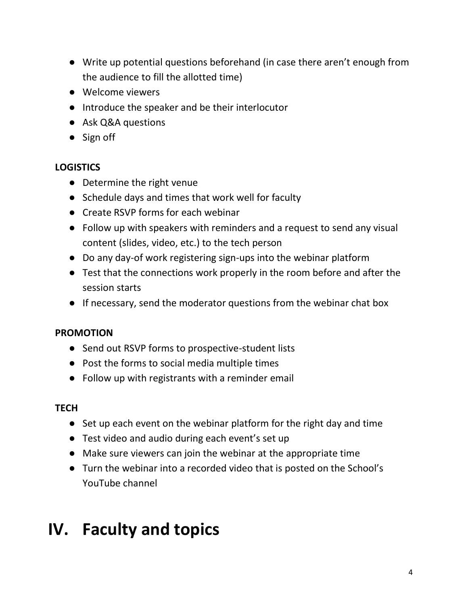- Write up potential questions beforehand (in case there aren't enough from the audience to fill the allotted time)
- Welcome viewers
- Introduce the speaker and be their interlocutor
- Ask Q&A questions
- Sign off

### **LOGISTICS**

- Determine the right venue
- Schedule days and times that work well for faculty
- Create RSVP forms for each webinar
- Follow up with speakers with reminders and a request to send any visual content (slides, video, etc.) to the tech person
- Do any day-of work registering sign-ups into the webinar platform
- Test that the connections work properly in the room before and after the session starts
- If necessary, send the moderator questions from the webinar chat box

### **PROMOTION**

- Send out RSVP forms to prospective-student lists
- Post the forms to social media multiple times
- Follow up with registrants with a reminder email

#### **TECH**

- Set up each event on the webinar platform for the right day and time
- Test video and audio during each event's set up
- Make sure viewers can join the webinar at the appropriate time
- Turn the webinar into a recorded video that is posted on the School's YouTube channel

## **IV. Faculty and topics**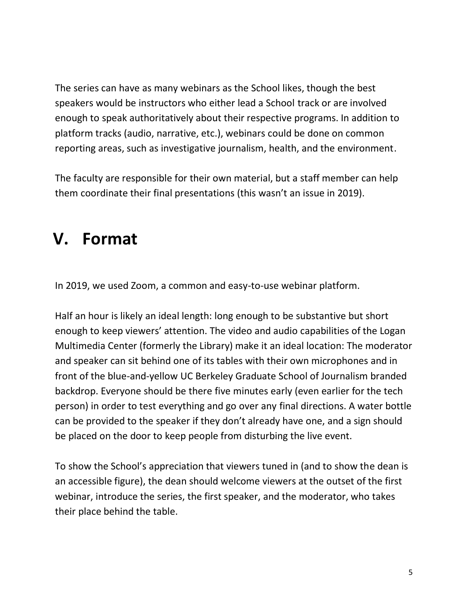The series can have as many webinars as the School likes, though the best speakers would be instructors who either lead a School track or are involved enough to speak authoritatively about their respective programs. In addition to platform tracks (audio, narrative, etc.), webinars could be done on common reporting areas, such as investigative journalism, health, and the environment.

The faculty are responsible for their own material, but a staff member can help them coordinate their final presentations (this wasn't an issue in 2019).

### **V. Format**

In 2019, we used Zoom, a common and easy-to-use webinar platform.

Half an hour is likely an ideal length: long enough to be substantive but short enough to keep viewers' attention. The video and audio capabilities of the Logan Multimedia Center (formerly the Library) make it an ideal location: The moderator and speaker can sit behind one of its tables with their own microphones and in front of the blue-and-yellow UC Berkeley Graduate School of Journalism branded backdrop. Everyone should be there five minutes early (even earlier for the tech person) in order to test everything and go over any final directions. A water bottle can be provided to the speaker if they don't already have one, and a sign should be placed on the door to keep people from disturbing the live event.

To show the School's appreciation that viewers tuned in (and to show the dean is an accessible figure), the dean should welcome viewers at the outset of the first webinar, introduce the series, the first speaker, and the moderator, who takes their place behind the table.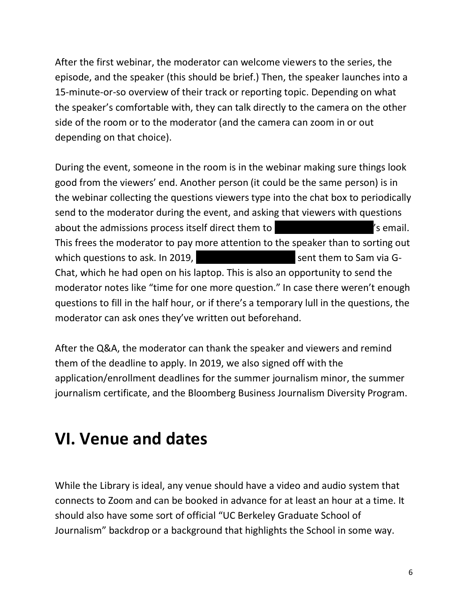After the first webinar, the moderator can welcome viewers to the series, the episode, and the speaker (this should be brief.) Then, the speaker launches into a 15-minute-or-so overview of their track or reporting topic. Depending on what the speaker's comfortable with, they can talk directly to the camera on the other side of the room or to the moderator (and the camera can zoom in or out depending on that choice).

During the event, someone in the room is in the webinar making sure things look good from the viewers' end. Another person (it could be the same person) is in the webinar collecting the questions viewers type into the chat box to periodically send to the moderator during the event, and asking that viewers with questions about the admissions process itself direct them to ||||||||||||||||||||'s email. This frees the moderator to pay more attention to the speaker than to sorting out which questions to ask. In 2019, Network and Sent them to Sam via G-Chat, which he had open on his laptop. This is also an opportunity to send the moderator notes like "time for one more question." In case there weren't enough questions to fill in the half hour, or if there's a temporary lull in the questions, the moderator can ask ones they've written out beforehand.

After the Q&A, the moderator can thank the speaker and viewers and remind them of the deadline to apply. In 2019, we also signed off with the application/enrollment deadlines for the summer journalism minor, the summer journalism certificate, and the Bloomberg Business Journalism Diversity Program.

### **VI. Venue and dates**

While the Library is ideal, any venue should have a video and audio system that connects to Zoom and can be booked in advance for at least an hour at a time. It should also have some sort of official "UC Berkeley Graduate School of Journalism" backdrop or a background that highlights the School in some way.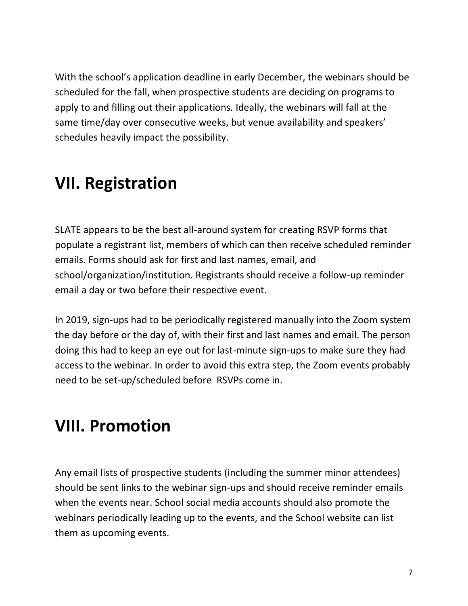With the school's application deadline in early December, the webinars should be scheduled for the fall, when prospective students are deciding on programs to apply to and filling out their applications. Ideally, the webinars will fall at the same time/day over consecutive weeks, but venue availability and speakers' schedules heavily impact the possibility.

### **VII. Registration**

SLATE appears to be the best all-around system for creating RSVP forms that populate a registrant list, members of which can then receive scheduled reminder emails. Forms should ask for first and last names, email, and school/organization/institution. Registrants should receive a follow-up reminder email a day or two before their respective event.

In 2019, sign-ups had to be periodically registered manually into the Zoom system the day before or the day of, with their first and last names and email. The person doing this had to keep an eye out for last-minute sign-ups to make sure they had access to the webinar. In order to avoid this extra step, the Zoom events probably need to be set-up/scheduled before RSVPs come in.

### **VIII. Promotion**

Any email lists of prospective students (including the summer minor attendees) should be sent links to the webinar sign-ups and should receive reminder emails when the events near. School social media accounts should also promote the webinars periodically leading up to the events, and the School website can list them as upcoming events.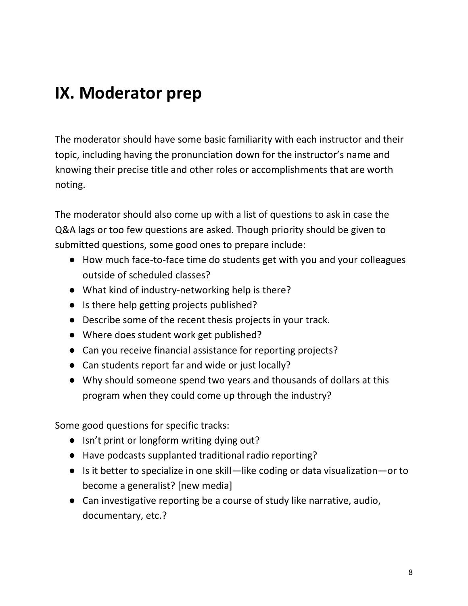### **IX. Moderator prep**

The moderator should have some basic familiarity with each instructor and their topic, including having the pronunciation down for the instructor's name and knowing their precise title and other roles or accomplishments that are worth noting.

The moderator should also come up with a list of questions to ask in case the Q&A lags or too few questions are asked. Though priority should be given to submitted questions, some good ones to prepare include:

- How much face-to-face time do students get with you and your colleagues outside of scheduled classes?
- What kind of industry-networking help is there?
- Is there help getting projects published?
- Describe some of the recent thesis projects in your track.
- Where does student work get published?
- Can you receive financial assistance for reporting projects?
- Can students report far and wide or just locally?
- Why should someone spend two years and thousands of dollars at this program when they could come up through the industry?

Some good questions for specific tracks:

- Isn't print or longform writing dying out?
- Have podcasts supplanted traditional radio reporting?
- Is it better to specialize in one skill—like coding or data visualization—or to become a generalist? [new media]
- Can investigative reporting be a course of study like narrative, audio, documentary, etc.?